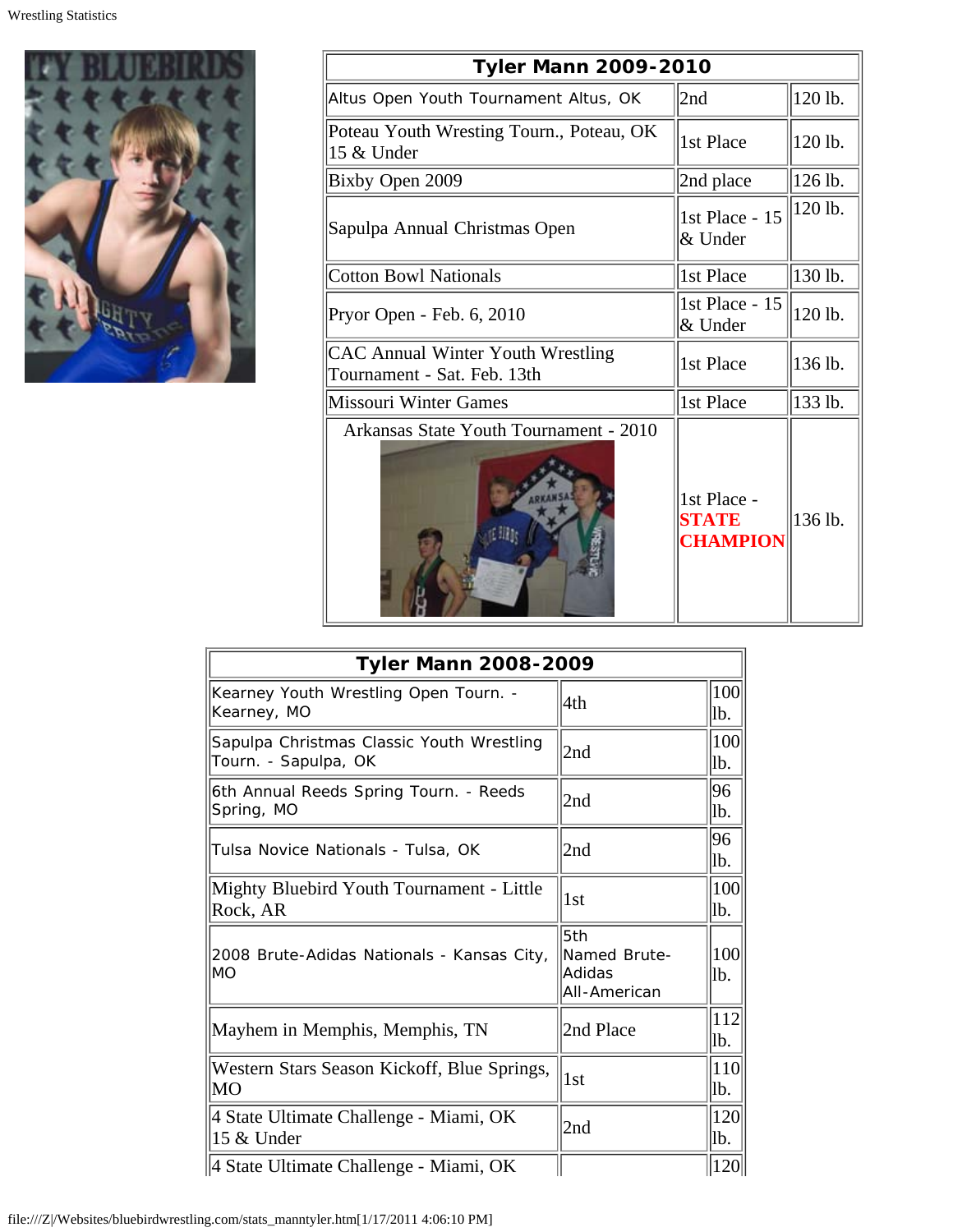

| <b>Tyler Mann 2009-2010</b>                                      |                                                |         |  |
|------------------------------------------------------------------|------------------------------------------------|---------|--|
| Altus Open Youth Tournament Altus, OK                            | 2nd                                            | 120 lb. |  |
| Poteau Youth Wresting Tourn., Poteau, OK<br>15 & Under           | 1st Place                                      | 120 lb. |  |
| Bixby Open 2009                                                  | 2nd place                                      | 126 lb. |  |
| Sapulpa Annual Christmas Open                                    | 1st Place - 15<br>& Under                      | 120 lb. |  |
| Cotton Bowl Nationals                                            | 1st Place                                      | 130 lb. |  |
| Pryor Open - Feb. 6, 2010                                        | 1st Place - 15<br>& Under                      | 120 lb. |  |
| CAC Annual Winter Youth Wrestling<br>Tournament - Sat. Feb. 13th | 1st Place                                      | 136 lb. |  |
| Missouri Winter Games                                            | 1st Place                                      | 133 lb. |  |
| Arkansas State Youth Tournament - 2010                           | 1st Place -<br><b>STATE</b><br><b>CHAMPION</b> | 136 lb. |  |

| <b>Tyler Mann 2008-2009</b>                                       |                                               |             |  |
|-------------------------------------------------------------------|-----------------------------------------------|-------------|--|
| Kearney Youth Wrestling Open Tourn. -<br>Kearney, MO              | 4th                                           | 100 <br>lb. |  |
| Sapulpa Christmas Classic Youth Wrestling<br>Tourn. - Sapulpa, OK | 2nd                                           | 100<br>lb.  |  |
| 6th Annual Reeds Spring Tourn. - Reeds<br>Spring, MO              | 2nd                                           | 96<br>lb.   |  |
| Tulsa Novice Nationals - Tulsa, OK                                | 2nd                                           | 96<br>lb.   |  |
| Mighty Bluebird Youth Tournament - Little<br>Rock, AR             | 1st                                           | 100<br>lb.  |  |
| 2008 Brute-Adidas Nationals - Kansas City,<br>MO                  | 5th<br>Named Brute-<br>Adidas<br>All-American | 100<br>lb.  |  |
| Mayhem in Memphis, Memphis, TN                                    | 2nd Place                                     | 112 <br>lb. |  |
| Western Stars Season Kickoff, Blue Springs,<br>∥MO                | 1st                                           | 110 <br>lb. |  |
| 4 State Ultimate Challenge - Miami, OK<br>15 & Under              | 2nd                                           | 120<br>lb.  |  |
| 4 State Ultimate Challenge - Miami, OK                            |                                               | <b>120</b>  |  |